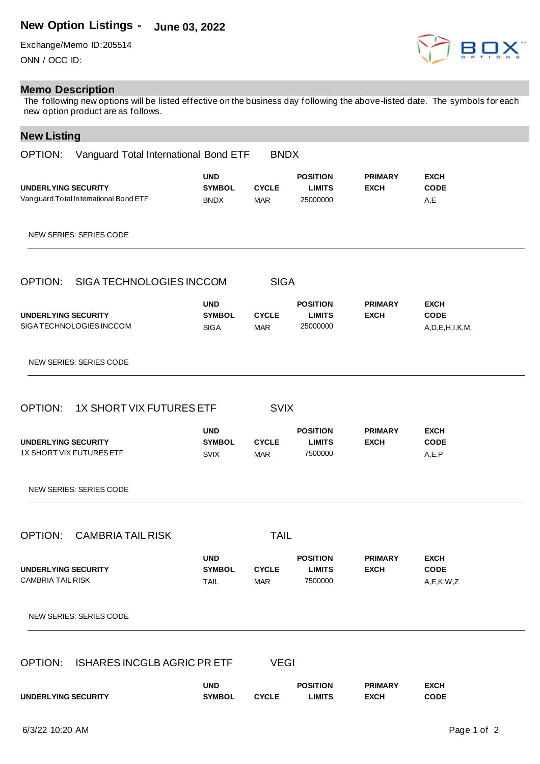## **New Option Listings - June 03, 2022**

Exchange/Memo ID:205514 ONN / OCC ID:

## **Memo Description**

The following new options will be listed effective on the business day following the above-listed date. The symbols for each new option product are as follows.

## **New Listing**

| . . <del>.</del><br>OPTION:                                         | Vanguard Total International Bond ETF      | <b>BNDX</b>                |                                              |                               |                                              |
|---------------------------------------------------------------------|--------------------------------------------|----------------------------|----------------------------------------------|-------------------------------|----------------------------------------------|
| <b>UNDERLYING SECURITY</b><br>Vanguard Total International Bond ETF | <b>UND</b><br><b>SYMBOL</b><br><b>BNDX</b> | <b>CYCLE</b><br><b>MAR</b> | <b>POSITION</b><br><b>LIMITS</b><br>25000000 | <b>PRIMARY</b><br><b>EXCH</b> | <b>EXCH</b><br><b>CODE</b><br>A,E            |
| NEW SERIES: SERIES CODE                                             |                                            |                            |                                              |                               |                                              |
| OPTION:<br>SIGA TECHNOLOGIES INCCOM                                 |                                            | <b>SIGA</b>                |                                              |                               |                                              |
| <b>UNDERLYING SECURITY</b><br>SIGA TECHNOLOGIES INCCOM              | <b>UND</b><br><b>SYMBOL</b><br><b>SIGA</b> | <b>CYCLE</b><br><b>MAR</b> | <b>POSITION</b><br><b>LIMITS</b><br>25000000 | <b>PRIMARY</b><br><b>EXCH</b> | <b>EXCH</b><br><b>CODE</b><br>A,D,E,H,I,K,M, |
| NEW SERIES: SERIES CODE                                             |                                            |                            |                                              |                               |                                              |
| OPTION:<br>1X SHORT VIX FUTURES ETF                                 |                                            | <b>SVIX</b>                |                                              |                               |                                              |
| <b>UNDERLYING SECURITY</b><br>1X SHORT VIX FUTURES ETF              | <b>UND</b><br><b>SYMBOL</b><br><b>SVIX</b> | <b>CYCLE</b><br><b>MAR</b> | <b>POSITION</b><br><b>LIMITS</b><br>7500000  | <b>PRIMARY</b><br><b>EXCH</b> | <b>EXCH</b><br><b>CODE</b><br>A, E, P        |
| NEW SERIES: SERIES CODE                                             |                                            |                            |                                              |                               |                                              |
| <b>CAMBRIA TAIL RISK</b><br><b>OPTION:</b>                          |                                            | <b>TAIL</b>                |                                              |                               |                                              |
| UNDERLYING SECURITY<br><b>CAMBRIA TAIL RISK</b>                     | <b>UND</b><br><b>SYMBOL</b><br><b>TAIL</b> | <b>CYCLE</b><br><b>MAR</b> | <b>POSITION</b><br><b>LIMITS</b><br>7500000  | <b>PRIMARY</b><br><b>EXCH</b> | <b>EXCH</b><br><b>CODE</b><br>A, E, K, W, Z  |
| <b>NEW SERIES: SERIES CODE</b>                                      |                                            |                            |                                              |                               |                                              |
| <b>ISHARES INCGLB AGRIC PRETF</b><br>OPTION:                        |                                            | <b>VEGI</b>                |                                              |                               |                                              |
| UNDERLYING SECURITY                                                 | <b>UND</b><br><b>SYMBOL</b>                | <b>CYCLE</b>               | <b>POSITION</b><br><b>LIMITS</b>             | <b>PRIMARY</b><br><b>EXCH</b> | <b>EXCH</b><br><b>CODE</b>                   |